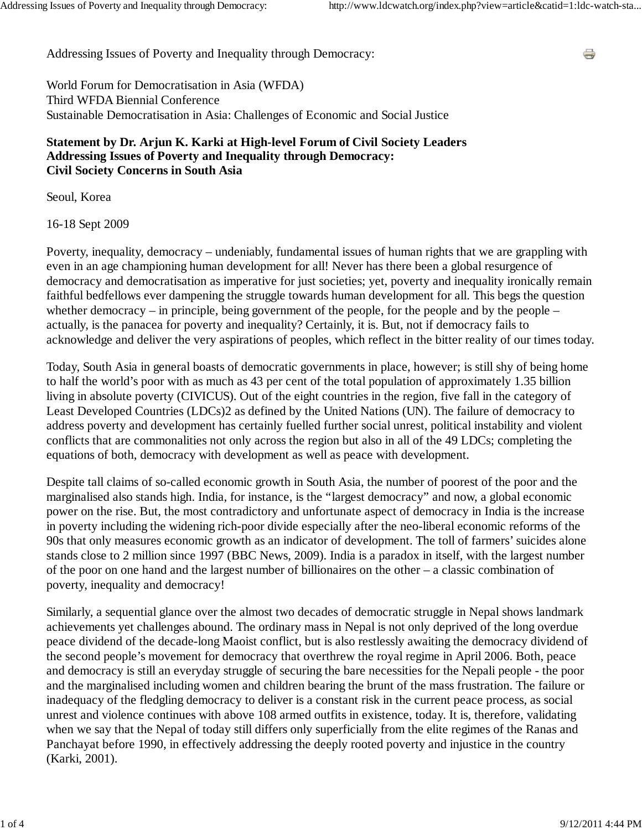÷

Addressing Issues of Poverty and Inequality through Democracy:

World Forum for Democratisation in Asia (WFDA) Third WFDA Biennial Conference Sustainable Democratisation in Asia: Challenges of Economic and Social Justice

## **Statement by Dr. Arjun K. Karki at High-level Forum of Civil Society Leaders Addressing Issues of Poverty and Inequality through Democracy: Civil Society Concerns in South Asia**

Seoul, Korea

16-18 Sept 2009

Poverty, inequality, democracy – undeniably, fundamental issues of human rights that we are grappling with even in an age championing human development for all! Never has there been a global resurgence of democracy and democratisation as imperative for just societies; yet, poverty and inequality ironically remain faithful bedfellows ever dampening the struggle towards human development for all. This begs the question whether democracy – in principle, being government of the people, for the people and by the people – actually, is the panacea for poverty and inequality? Certainly, it is. But, not if democracy fails to acknowledge and deliver the very aspirations of peoples, which reflect in the bitter reality of our times today.

Today, South Asia in general boasts of democratic governments in place, however; is still shy of being home to half the world's poor with as much as 43 per cent of the total population of approximately 1.35 billion living in absolute poverty (CIVICUS). Out of the eight countries in the region, five fall in the category of Least Developed Countries (LDCs)2 as defined by the United Nations (UN). The failure of democracy to address poverty and development has certainly fuelled further social unrest, political instability and violent conflicts that are commonalities not only across the region but also in all of the 49 LDCs; completing the equations of both, democracy with development as well as peace with development.

Despite tall claims of so-called economic growth in South Asia, the number of poorest of the poor and the marginalised also stands high. India, for instance, is the "largest democracy" and now, a global economic power on the rise. But, the most contradictory and unfortunate aspect of democracy in India is the increase in poverty including the widening rich-poor divide especially after the neo-liberal economic reforms of the 90s that only measures economic growth as an indicator of development. The toll of farmers' suicides alone stands close to 2 million since 1997 (BBC News, 2009). India is a paradox in itself, with the largest number of the poor on one hand and the largest number of billionaires on the other – a classic combination of poverty, inequality and democracy!

Similarly, a sequential glance over the almost two decades of democratic struggle in Nepal shows landmark achievements yet challenges abound. The ordinary mass in Nepal is not only deprived of the long overdue peace dividend of the decade-long Maoist conflict, but is also restlessly awaiting the democracy dividend of the second people's movement for democracy that overthrew the royal regime in April 2006. Both, peace and democracy is still an everyday struggle of securing the bare necessities for the Nepali people - the poor and the marginalised including women and children bearing the brunt of the mass frustration. The failure or inadequacy of the fledgling democracy to deliver is a constant risk in the current peace process, as social unrest and violence continues with above 108 armed outfits in existence, today. It is, therefore, validating when we say that the Nepal of today still differs only superficially from the elite regimes of the Ranas and Panchayat before 1990, in effectively addressing the deeply rooted poverty and injustice in the country (Karki, 2001).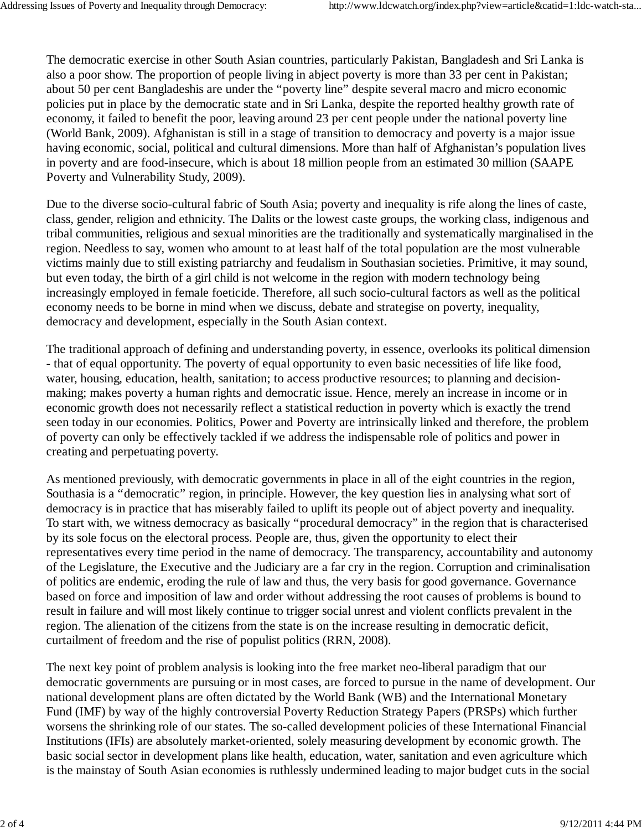The democratic exercise in other South Asian countries, particularly Pakistan, Bangladesh and Sri Lanka is also a poor show. The proportion of people living in abject poverty is more than 33 per cent in Pakistan; about 50 per cent Bangladeshis are under the "poverty line" despite several macro and micro economic policies put in place by the democratic state and in Sri Lanka, despite the reported healthy growth rate of economy, it failed to benefit the poor, leaving around 23 per cent people under the national poverty line (World Bank, 2009). Afghanistan is still in a stage of transition to democracy and poverty is a major issue having economic, social, political and cultural dimensions. More than half of Afghanistan's population lives in poverty and are food-insecure, which is about 18 million people from an estimated 30 million (SAAPE Poverty and Vulnerability Study, 2009).

Due to the diverse socio-cultural fabric of South Asia; poverty and inequality is rife along the lines of caste, class, gender, religion and ethnicity. The Dalits or the lowest caste groups, the working class, indigenous and tribal communities, religious and sexual minorities are the traditionally and systematically marginalised in the region. Needless to say, women who amount to at least half of the total population are the most vulnerable victims mainly due to still existing patriarchy and feudalism in Southasian societies. Primitive, it may sound, but even today, the birth of a girl child is not welcome in the region with modern technology being increasingly employed in female foeticide. Therefore, all such socio-cultural factors as well as the political economy needs to be borne in mind when we discuss, debate and strategise on poverty, inequality, democracy and development, especially in the South Asian context.

The traditional approach of defining and understanding poverty, in essence, overlooks its political dimension - that of equal opportunity. The poverty of equal opportunity to even basic necessities of life like food, water, housing, education, health, sanitation; to access productive resources; to planning and decisionmaking; makes poverty a human rights and democratic issue. Hence, merely an increase in income or in economic growth does not necessarily reflect a statistical reduction in poverty which is exactly the trend seen today in our economies. Politics, Power and Poverty are intrinsically linked and therefore, the problem of poverty can only be effectively tackled if we address the indispensable role of politics and power in creating and perpetuating poverty.

As mentioned previously, with democratic governments in place in all of the eight countries in the region, Southasia is a "democratic" region, in principle. However, the key question lies in analysing what sort of democracy is in practice that has miserably failed to uplift its people out of abject poverty and inequality. To start with, we witness democracy as basically "procedural democracy" in the region that is characterised by its sole focus on the electoral process. People are, thus, given the opportunity to elect their representatives every time period in the name of democracy. The transparency, accountability and autonomy of the Legislature, the Executive and the Judiciary are a far cry in the region. Corruption and criminalisation of politics are endemic, eroding the rule of law and thus, the very basis for good governance. Governance based on force and imposition of law and order without addressing the root causes of problems is bound to result in failure and will most likely continue to trigger social unrest and violent conflicts prevalent in the region. The alienation of the citizens from the state is on the increase resulting in democratic deficit, curtailment of freedom and the rise of populist politics (RRN, 2008).

The next key point of problem analysis is looking into the free market neo-liberal paradigm that our democratic governments are pursuing or in most cases, are forced to pursue in the name of development. Our national development plans are often dictated by the World Bank (WB) and the International Monetary Fund (IMF) by way of the highly controversial Poverty Reduction Strategy Papers (PRSPs) which further worsens the shrinking role of our states. The so-called development policies of these International Financial Institutions (IFIs) are absolutely market-oriented, solely measuring development by economic growth. The basic social sector in development plans like health, education, water, sanitation and even agriculture which is the mainstay of South Asian economies is ruthlessly undermined leading to major budget cuts in the social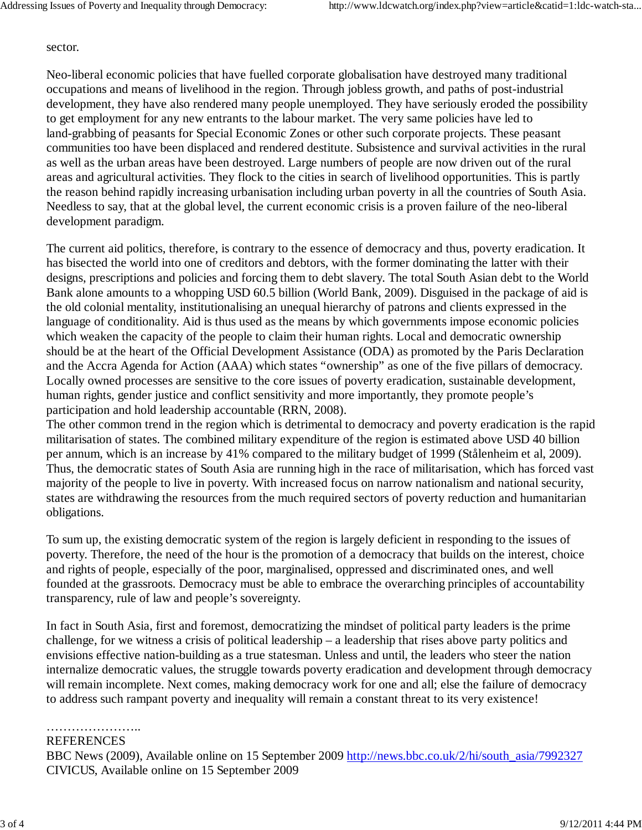## sector.

Neo-liberal economic policies that have fuelled corporate globalisation have destroyed many traditional occupations and means of livelihood in the region. Through jobless growth, and paths of post-industrial development, they have also rendered many people unemployed. They have seriously eroded the possibility to get employment for any new entrants to the labour market. The very same policies have led to land-grabbing of peasants for Special Economic Zones or other such corporate projects. These peasant communities too have been displaced and rendered destitute. Subsistence and survival activities in the rural as well as the urban areas have been destroyed. Large numbers of people are now driven out of the rural areas and agricultural activities. They flock to the cities in search of livelihood opportunities. This is partly the reason behind rapidly increasing urbanisation including urban poverty in all the countries of South Asia. Needless to say, that at the global level, the current economic crisis is a proven failure of the neo-liberal development paradigm.

The current aid politics, therefore, is contrary to the essence of democracy and thus, poverty eradication. It has bisected the world into one of creditors and debtors, with the former dominating the latter with their designs, prescriptions and policies and forcing them to debt slavery. The total South Asian debt to the World Bank alone amounts to a whopping USD 60.5 billion (World Bank, 2009). Disguised in the package of aid is the old colonial mentality, institutionalising an unequal hierarchy of patrons and clients expressed in the language of conditionality. Aid is thus used as the means by which governments impose economic policies which weaken the capacity of the people to claim their human rights. Local and democratic ownership should be at the heart of the Official Development Assistance (ODA) as promoted by the Paris Declaration and the Accra Agenda for Action (AAA) which states "ownership" as one of the five pillars of democracy. Locally owned processes are sensitive to the core issues of poverty eradication, sustainable development, human rights, gender justice and conflict sensitivity and more importantly, they promote people's participation and hold leadership accountable (RRN, 2008).

The other common trend in the region which is detrimental to democracy and poverty eradication is the rapid militarisation of states. The combined military expenditure of the region is estimated above USD 40 billion per annum, which is an increase by 41% compared to the military budget of 1999 (Stålenheim et al, 2009). Thus, the democratic states of South Asia are running high in the race of militarisation, which has forced vast majority of the people to live in poverty. With increased focus on narrow nationalism and national security, states are withdrawing the resources from the much required sectors of poverty reduction and humanitarian obligations.

To sum up, the existing democratic system of the region is largely deficient in responding to the issues of poverty. Therefore, the need of the hour is the promotion of a democracy that builds on the interest, choice and rights of people, especially of the poor, marginalised, oppressed and discriminated ones, and well founded at the grassroots. Democracy must be able to embrace the overarching principles of accountability transparency, rule of law and people's sovereignty.

In fact in South Asia, first and foremost, democratizing the mindset of political party leaders is the prime challenge, for we witness a crisis of political leadership – a leadership that rises above party politics and envisions effective nation-building as a true statesman. Unless and until, the leaders who steer the nation internalize democratic values, the struggle towards poverty eradication and development through democracy will remain incomplete. Next comes, making democracy work for one and all; else the failure of democracy to address such rampant poverty and inequality will remain a constant threat to its very existence!

…………………………… REFERENCES

BBC News (2009), Available online on 15 September 2009 http://news.bbc.co.uk/2/hi/south\_asia/7992327 CIVICUS, Available online on 15 September 2009